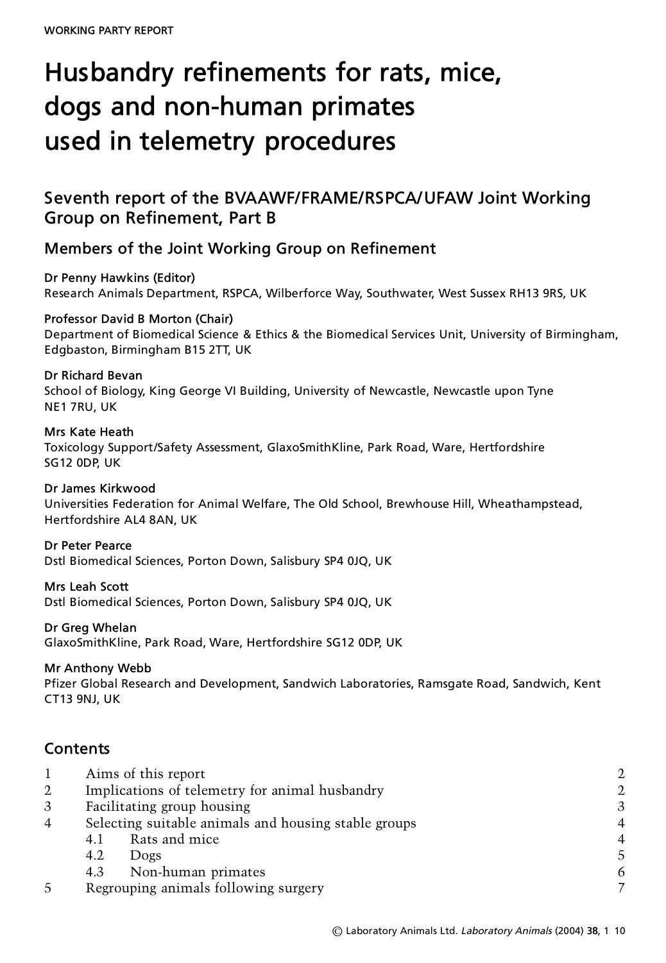# **Husbandry refinements for rats, mice, dogs and non-human primates used in telemetry procedures**

# **Seventh report of the BVAAWF/FRAME/RSPCA/UFAW Joint Working Group on Refinement, Part B**

# **Members of the Joint Working Group on Refinement**

**Dr Penny Hawkins (Editor)** Research Animals Department, RSPCA, Wilberforce Way, Southwater, West Sussex RH13 9RS, UK

#### **Professor David B Morton (Chair)**

Department of Biomedical Science & Ethics & the Biomedical Services Unit, University of Birmingham, Edgbaston, Birmingham B15 2TT, UK

#### **Dr Richard Bevan**

School of Biology, King George VI Building, University of Newcastle, Newcastle upon Tyne NE1 7RU, UK

#### **Mrs Kate Heath**

Toxicology Support/Safety Assessment, GlaxoSmithKline, Park Road, Ware, Hertfordshire SG12 0DP, UK

**Dr James Kirkwood** Universities Federation for Animal Welfare, The Old School, Brewhouse Hill, Wheathampstead, Hertfordshire AL4 8AN, UK

### **Dr Peter Pearce**

Dstl Biomedical Sciences, Porton Down, Salisbury SP4 0JQ, UK

**Mrs Leah Scott**

Dstl Biomedical Sciences, Porton Down, Salisbury SP4 0JQ, UK

#### **Dr Greg Whelan**

GlaxoSmithKline, Park Road, Ware, Hertfordshire SG12 0DP, UK

#### **Mr Anthony Webb**

Pfizer Global Research and Development, Sandwich Laboratories, Ramsgate Road, Sandwich, Kent CT13 9NJ, UK

# **Contents**

|                |                                                      | Aims of this report |  |
|----------------|------------------------------------------------------|---------------------|--|
| 2              | Implications of telemetry for animal husbandry       |                     |  |
| 3              | Facilitating group housing                           |                     |  |
| $\overline{4}$ | Selecting suitable animals and housing stable groups |                     |  |
|                | 4.1                                                  | Rats and mice       |  |
|                | 4.2                                                  | Dogs                |  |
|                | 4.3                                                  | Non-human primates  |  |
| 5              | Regrouping animals following surgery                 |                     |  |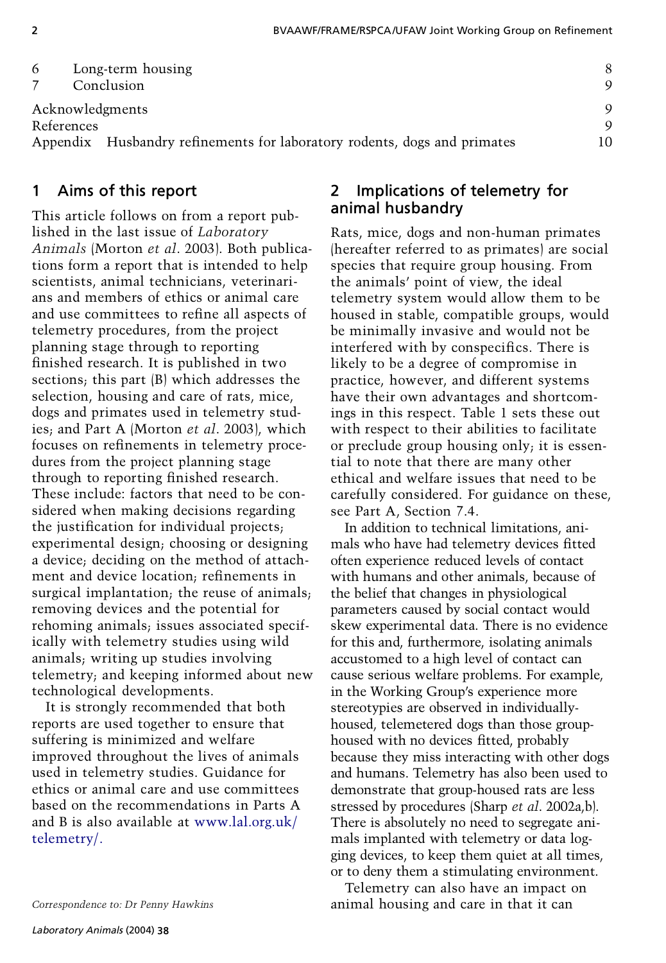| 6               | Long-term housing<br>Conclusion                                          |  |
|-----------------|--------------------------------------------------------------------------|--|
| Acknowledgments |                                                                          |  |
| References      |                                                                          |  |
|                 | Appendix Husbandry refinements for laboratory rodents, dogs and primates |  |

# **1 Aims of this report**

This article follows on from a report published in the last issue of *Laboratory Animals* (Morton *et al*. 2003). Both publications form a report that is intended to help scientists, animal technicians, veterinarians and members of ethics or animal care and use committees to refine all aspects of telemetry procedures, from the project planning stage through to reporting finished research. It is published in two sections; this part (B) which addresses the selection, housing and care of rats, mice, dogs and primates used in telemetry studies; and Part A (Morton *et al*. 2003), which focuses on refinements in telemetry procedures from the project planning stage through to reporting finished research. These include: factors that need to be considered when making decisions regarding the justification for individual projects; experimental design; choosing or designing a device; deciding on the method of attachment and device location; refinements in surgical implantation; the reuse of animals; removing devices and the potential for rehoming animals; issues associated specifically with telemetry studies using wild animals; writing up studies involving telemetry; and keeping informed about new technological developments.

It is strongly recommended that both reports are used together to ensure that suffering is minimized and welfare improved throughout the lives of animals used in telemetry studies. Guidance for ethics or animal care and use committees based on the recommendations in Parts A and B is also available at [www.lal.org.uk/](http://www.lal.org.uk/telemetry/) [telemetry/.](http://www.lal.org.uk/telemetry/)

#### *Correspondence to: Dr Penny Hawkins*

# **2 Implications of telemetry for animal husbandry**

Rats, mice, dogs and non-human primates (hereafter referred to as primates) are social species that require group housing. From the animals' point of view, the ideal telemetry system would allow them to be housed in stable, compatible groups, would be minimally invasive and would not be interfered with by conspecifics. There is likely to be a degree of compromise in practice, however, and different systems have their own advantages and shortcomings in this respect. Table 1 sets these out with respect to their abilities to facilitate or preclude group housing only; it is essential to note that there are many other ethical and welfare issues that need to be carefully considered. For guidance on these, see Part A, Section 7.4.

In addition to technical limitations, animals who have had telemetry devices fitted often experience reduced levels of contact with humans and other animals, because of the belief that changes in physiological parameters caused by social contact would skew experimental data. There is no evidence for this and, furthermore, isolating animals accustomed to a high level of contact can cause serious welfare problems. For example, in the Working Group's experience more stereotypies are observed in individuallyhoused, telemetered dogs than those grouphoused with no devices fitted, probably because they miss interacting with other dogs and humans. Telemetry has also been used to demonstrate that group-housed rats are less stressed by procedures (Sharp *et al*. 2002a,b). There is absolutely no need to segregate animals implanted with telemetry or data logging devices, to keep them quiet at all times, or to deny them a stimulating environment.

Telemetry can also have an impact on animal housing and care in that it can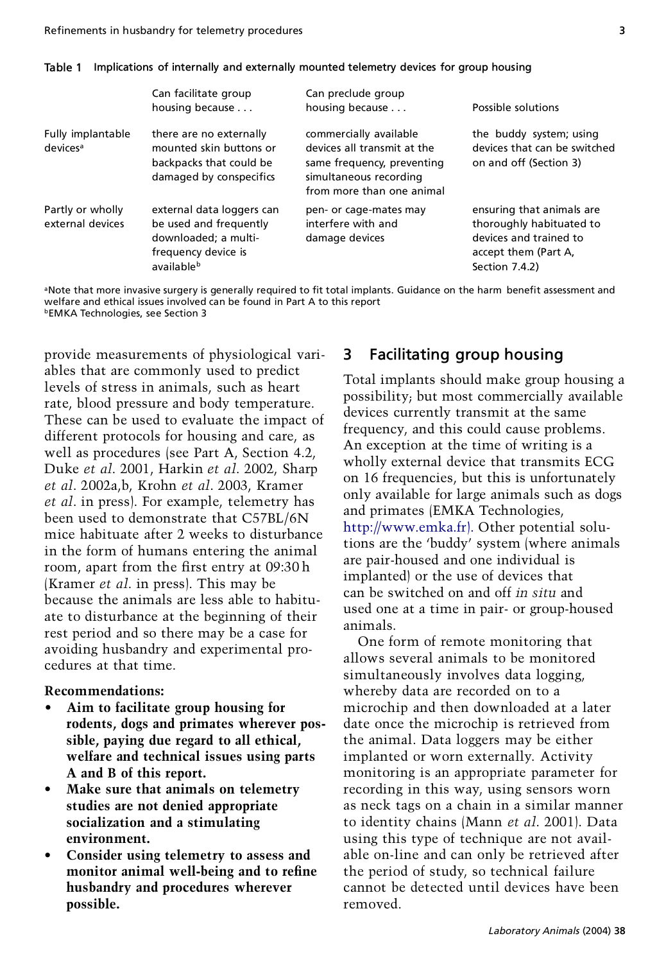|                                           | Can facilitate group<br>housing because                                                                          | Can preclude group<br>housing because                                                                                                      | Possible solutions                                                                                                        |
|-------------------------------------------|------------------------------------------------------------------------------------------------------------------|--------------------------------------------------------------------------------------------------------------------------------------------|---------------------------------------------------------------------------------------------------------------------------|
| Fully implantable<br>devices <sup>a</sup> | there are no externally<br>mounted skin buttons or<br>backpacks that could be<br>damaged by conspecifics         | commercially available<br>devices all transmit at the<br>same frequency, preventing<br>simultaneous recording<br>from more than one animal | the buddy system; using<br>devices that can be switched<br>on and off (Section 3)                                         |
| Partly or wholly<br>external devices      | external data loggers can<br>be used and frequently<br>downloaded: a multi-<br>frequency device is<br>availableb | pen- or cage-mates may<br>interfere with and<br>damage devices                                                                             | ensuring that animals are<br>thoroughly habituated to<br>devices and trained to<br>accept them (Part A,<br>Section 7.4.2) |

#### **Table 1 Implications of internally and externally mounted telemetry devices for group housing**

<sup>a</sup>Note that more invasive surgery is generally required to fit total implants. Guidance on the harm benefit assessment and welfare and ethical issues involved can be found in Part A to this report bEMKA Technologies, see Section 3

provide measurements of physiological variables that are commonly used to predict levels of stress in animals, such as heart rate, blood pressure and body temperature. These can be used to evaluate the impact of different protocols for housing and care, as well as procedures (see Part A, Section 4.2, Duke *et al*. 2001, Harkin *et al*. 2002, Sharp *et al*. 2002a,b, Krohn *et al*. 2003, Kramer *et al*. in press). For example, telemetry has been used to demonstrate that C57BL/6N mice habituate after 2 weeks to disturbance in the form of humans entering the animal room, apart from the first entry at 09:30 h (Kramer *et al*. in press). This may be because the animals are less able to habituate to disturbance at the beginning of their rest period and so there may be a case for avoiding husbandry and experimental procedures at that time.

#### **Recommendations:**

- **Aim to facilitate group housing for rodents, dogs and primates wherever possible, paying due regard to all ethical, welfare and technical issues using parts A and B of this report.**
- **Make sure that animals on telemetry studies are not denied appropriate socialization and a stimulating environment.**
- **Consider using telemetry to assess and** monitor animal well-being and to refine **husbandry and procedures wherever possible.**

# **3 Facilitating group housing**

Total implants should make group housing a possibility; but most commercially available devices currently transmit at the same frequency, and this could cause problems. An exception at the time of writing is a wholly external device that transmits ECG on 16 frequencies, but this is unfortunately only available for large animals such as dogs and primates (EMKA Technologies, [http://www.emka.fr\).](http://www.emka.fr) Other potential solutions are the 'buddy' system (where animals are pair-housed and one individual is implanted) or the use of devices that can be switched on and off *in situ* and used one at a time in pair- or group-housed animals.

One form of remote monitoring that allows several animals to be monitored simultaneously involves data logging, whereby data are recorded on to a microchip and then downloaded at a later date once the microchip is retrieved from the animal. Data loggers may be either implanted or worn externally. Activity monitoring is an appropriate parameter for recording in this way, using sensors worn as neck tags on a chain in a similar manner to identity chains (Mann *et al*. 2001). Data using this type of technique are not available on-line and can only be retrieved after the period of study, so technical failure cannot be detected until devices have been removed.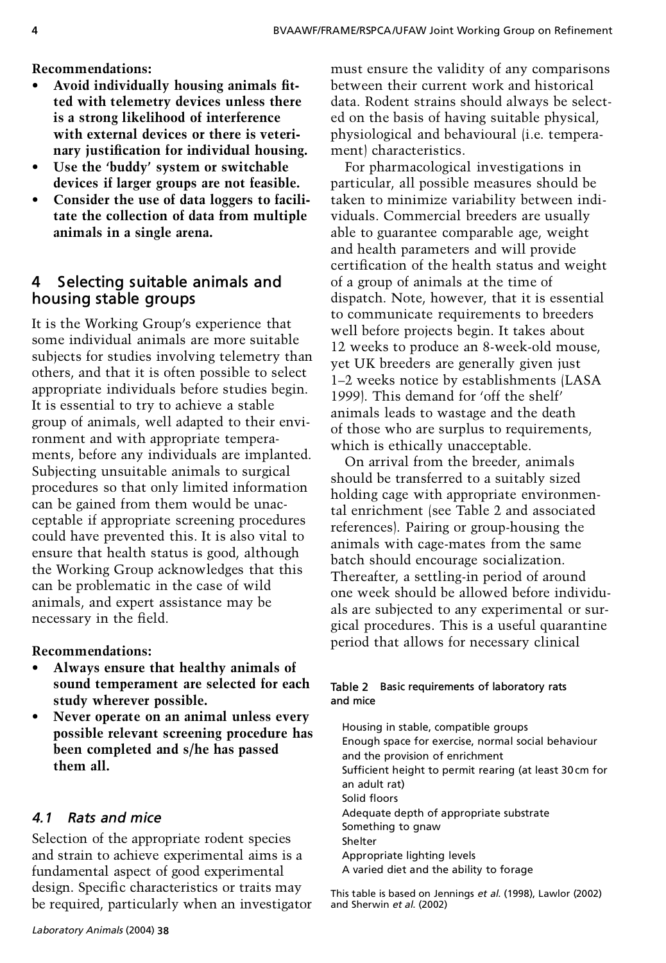**Recommendations:**

- Avoid individually housing animals fit**ted with telemetry devices unless there is a strong likelihood of interference with external devices or there is veterinary justication for individual housing.**
- **Use the 'buddy' system or switchable devices if larger groups are not feasible.**
- **Consider the use of data loggers to facilitate the collection of data from multiple animals in a single arena.**

# **4 Selecting suitable animals and housing stable groups**

It is the Working Group's experience that some individual animals are more suitable subjects for studies involving telemetry than others, and that it is often possible to select appropriate individuals before studies begin. It is essential to try to achieve a stable group of animals, well adapted to their environment and with appropriate temperaments, before any individuals are implanted. Subjecting unsuitable animals to surgical procedures so that only limited information can be gained from them would be unacceptable if appropriate screening procedures could have prevented this. It is also vital to ensure that health status is good, although the Working Group acknowledges that this can be problematic in the case of wild animals, and expert assistance may be necessary in the field.

#### **Recommendations:**

- **Always ensure that healthy animals of sound temperament are selected for each study wherever possible.**
- **Never operate on an animal unless every possible relevant screening procedure has been completed and s/he has passed them all.**

# *4.1 Rats and mice*

Selection of the appropriate rodent species and strain to achieve experimental aims is a fundamental aspect of good experimental design. Specific characteristics or traits may be required, particularly when an investigator

must ensure the validity of any comparisons between their current work and historical data. Rodent strains should always be selected on the basis of having suitable physical, physiological and behavioural (i.e. temperament) characteristics.

For pharmacological investigations in particular, all possible measures should be taken to minimize variability between individuals. Commercial breeders are usually able to guarantee comparable age, weight and health parameters and will provide certification of the health status and weight of a group of animals at the time of dispatch. Note, however, that it is essential to communicate requirements to breeders well before projects begin. It takes about 12 weeks to produce an 8-week-old mouse, yet UK breeders are generally given just 1–2 weeks notice by establishments (LASA 1999). This demand for 'off the shelf' animals leads to wastage and the death of those who are surplus to requirements, which is ethically unacceptable.

On arrival from the breeder, animals should be transferred to a suitably sized holding cage with appropriate environmental enrichment (see Table 2 and associated references). Pairing or group-housing the animals with cage-mates from the same batch should encourage socialization. Thereafter, a settling-in period of around one week should be allowed before individuals are subjected to any experimental or surgical procedures. This is a useful quarantine period that allows for necessary clinical

#### **Table 2 Basic requirements of laboratory rats and mice**

Housing in stable, compatible groups Enough space for exercise, normal social behaviour and the provision of enrichment Sufficient height to permit rearing (at least 30 cm for an adult rat) Solid floors Adequate depth of appropriate substrate Something to gnaw Shelter Appropriate lighting levels A varied diet and the ability to forage

This table is based on Jennings *et al*. (1998), Lawlor (2002) and Sherwin *et al*. (2002)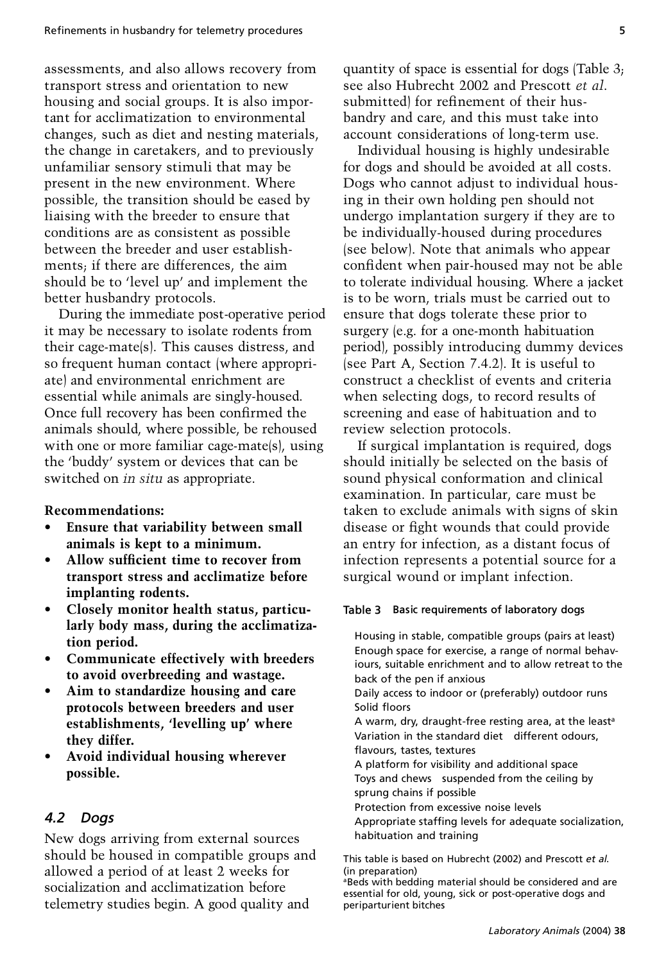assessments, and also allows recovery from quantity of space is essential for dogs (Table transport stress and orientation to new see also Hubrecht 2002 and Prescott *et al.* transport stress and orientation to new housing and social groups. It is also important for acclimatization to environmental changes, such as diet and nesting materials, the change in caretakers, and to previously unfamiliar sensory stimuli that may be present in the new environment. Where possible, the transition should be eased by liaising with the breeder to ensure that conditions are as consistent as possible between the breeder and user establishments; if there are differences, the aim should be to 'level up' and implement the better husbandry protocols.

During the immediate post-operative period it may be necessary to isolate rodents from their cage-mate(s). This causes distress, and so frequent human contact (where appropriate) and environmental enrichment are essential while animals are singly-housed. Once full recovery has been confirmed the animals should, where possible, be rehoused with one or more familiar cage-mate(s), using the 'buddy' system or devices that can be switched on *in situ* as appropriate.

#### **Recommendations:**

- **Ensure that variability between small animals is kept to a minimum.**
- Allow sufficient time to recover from **transport stress and acclimatize before implanting rodents.**
- **Closely monitor health status, particularly body mass, during the acclimatization period.**
- **Communicate effectively with breeders to avoid overbreeding and wastage.**
- **Aim to standardize housing and care protocols between breeders and user establishments, 'levelling up' where they differ.**
- **Avoid individual housing wherever possible.**

#### *4.2 Dogs*

New dogs arriving from external sources should be housed in compatible groups and allowed a period of at least 2 weeks for socialization and acclimatization before telemetry studies begin. A good quality and

quantity of space is essential for dogs (Table 3; submitted) for refinement of their husbandry and care, and this must take into account considerations of long-term use.

Individual housing is highly undesirable for dogs and should be avoided at all costs. Dogs who cannot adjust to individual housing in their own holding pen should not undergo implantation surgery if they are to be individually-housed during procedures (see below). Note that animals who appear confident when pair-housed may not be able to tolerate individual housing. Where a jacket is to be worn, trials must be carried out to ensure that dogs tolerate these prior to surgery (e.g. for a one-month habituation period), possibly introducing dummy devices (see Part A, Section 7.4.2). It is useful to construct a checklist of events and criteria when selecting dogs, to record results of screening and ease of habituation and to review selection protocols.

If surgical implantation is required, dogs should initially be selected on the basis of sound physical conformation and clinical examination. In particular, care must be taken to exclude animals with signs of skin disease or fight wounds that could provide an entry for infection, as a distant focus of infection represents a potential source for a surgical wound or implant infection.

#### **Table 3 Basic requirements of laboratory dogs**

Housing in stable, compatible groups (pairs at least) Enough space for exercise, a range of normal behaviours, suitable enrichment and to allow retreat to the back of the pen if anxious Daily access to indoor or (preferably) outdoor runs Solid floors A warm, dry, draught-free resting area, at the least<sup>a</sup> Variation in the standard diet—different odours, flavours, tastes, textures A platform for visibility and additional space Toys and chews—suspended from the ceiling by sprung chains if possible Protection from excessive noise levels Appropriate staffing levels for adequate socialization, habituation and training

This table is based on Hubrecht (2002) and Prescott *et al*. (in preparation)

aBeds with bedding material should be considered and are essential for old, young, sick or post-operative dogs and periparturient bitches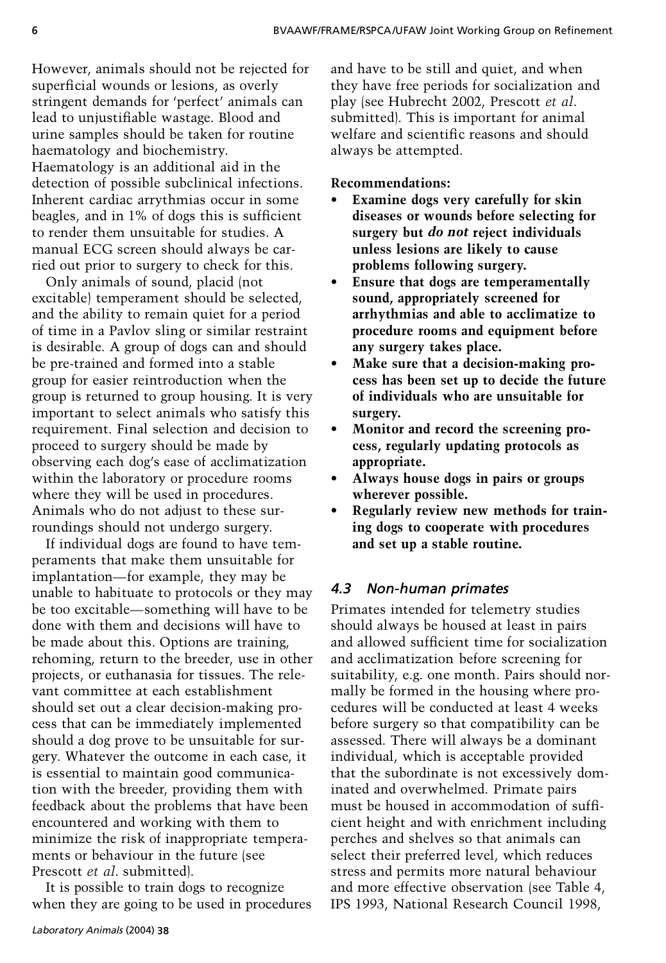However, animals should not be rejected for superficial wounds or lesions, as overly stringent demands for 'perfect' animals can lead to unjustifiable wastage. Blood and urine samples should be taken for routine haematology and biochemistry. Haematology is an additional aid in the detection of possible subclinical infections. Inherent cardiac arrythmias occur in some beagles, and in 1% of dogs this is sufficient to render them unsuitable for studies. A manual ECG screen should always be carried out prior to surgery to check for this.

Only animals of sound, placid (not excitable) temperament should be selected, and the ability to remain quiet for a period of time in a Pavlov sling or similar restraint is desirable. A group of dogs can and should be pre-trained and formed into a stable group for easier reintroduction when the group is returned to group housing. It is very important to select animals who satisfy this requirement. Final selection and decision to proceed to surgery should be made by observing each dog's ease of acclimatization within the laboratory or procedure rooms where they will be used in procedures. Animals who do not adjust to these surroundings should not undergo surgery.

If individual dogs are found to have temperaments that make them unsuitable for implantation—for example, they may be unable to habituate to protocols or they may be too excitable—something will have to be done with them and decisions will have to be made about this. Options are training, rehoming, return to the breeder, use in other projects, or euthanasia for tissues. The relevant committee at each establishment should set out a clear decision-making process that can be immediately implemented should a dog prove to be unsuitable for surgery. Whatever the outcome in each case, it is essential to maintain good communication with the breeder, providing them with feedback about the problems that have been encountered and working with them to minimize the risk of inappropriate temperaments or behaviour in the future (see Prescott *et al*. submitted).

It is possible to train dogs to recognize when they are going to be used in procedures

and have to be still and quiet, and when they have free periods for socialization and<br>play (see Hubrecht 2002, Prescott *et al.* submitted). This is important for animal. welfare and scientific reasons and should always be attempted.

#### **Recommendations:**

- **Examine dogs very carefully for skin diseases or wounds before selecting for surgery but** *do not* **reject individuals unless lesions are likely to cause problems following surgery.**
- **Ensure that dogs are temperamentally sound, appropriately screened for arrhythmias and able to acclimatize to procedure rooms and equipment before any surgery takes place.**
- **Make sure that a decision-making process has been set up to decide the future of individuals who are unsuitable for surgery.**
- **Monitor and record the screening process, regularly updating protocols as appropriate.**
- **Always house dogs in pairs or groups wherever possible.**
- **Regularly review new methods for training dogs to cooperate with procedures and set up a stable routine.**

# *4.3 Non-human primates*

Primates intended for telemetry studies should always be housed at least in pairs and allowed sufficient time for socialization and acclimatization before screening for suitability, e.g. one month. Pairs should normally be formed in the housing where procedures will be conducted at least 4 weeks before surgery so that compatibility can be assessed. There will always be a dominant individual, which is acceptable provided that the subordinate is not excessively dominated and overwhelmed. Primate pairs cient height and with enrichment including perches and shelves so that animals can select their preferred level, which reduces stress and permits more natural behaviour and more effective observation (see Table 4, IPS 1993, National Research Council 1998,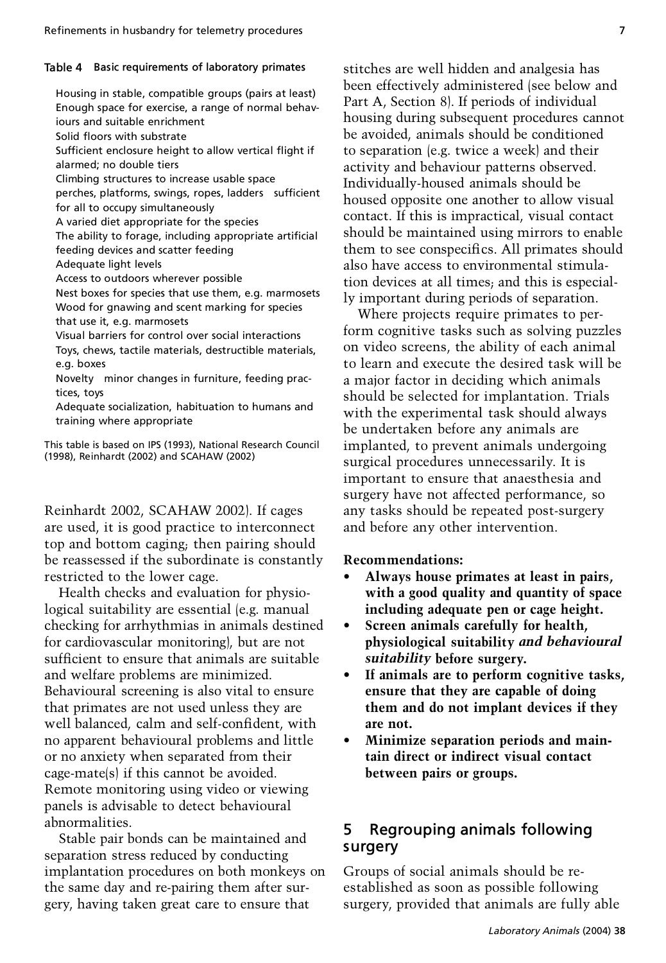#### **Table 4 Basic requirements of laboratory primates**

Housing in stable, compatible groups (pairs at least) Enough space for exercise, a range of normal behaviours and suitable enrichment Solid floors with substrate Sufficient enclosure height to allow vertical flight if alarmed; no double tiers Climbing structures to increase usable space perches, platforms, swings, ropes, ladders sufficient for all to occupy simultaneously A varied diet appropriate for the species The ability to forage, including appropriate artificial feeding devices and scatter feeding Adequate light levels Access to outdoors wherever possible Nest boxes for species that use them, e.g. marmosets Wood for gnawing and scent marking for species that use it, e.g. marmosets Visual barriers for control over social interactions Toys, chews, tactile materials, destructible materials, e.g. boxes Novelty—minor changes in furniture, feeding practices, toys Adequate socialization, habituation to humans and training where appropriate

This table is based on IPS (1993), National Research Council (1998), Reinhardt (2002) and SCAHAW (2002)

Reinhardt 2002, SCAHAW 2002). If cages are used, it is good practice to interconnect top and bottom caging; then pairing should be reassessed if the subordinate is constantly restricted to the lower cage.

Health checks and evaluation for physiological suitability are essential (e.g. manual checking for arrhythmias in animals destined for cardiovascular monitoring), but are not sufficient to ensure that animals are suitable and welfare problems are minimized. Behavioural screening is also vital to ensure that primates are not used unless they are well balanced, calm and self-confident, with no apparent behavioural problems and little or no anxiety when separated from their cage-mate(s) if this cannot be avoided. Remote monitoring using video or viewing panels is advisable to detect behavioural abnormalities.

Stable pair bonds can be maintained and separation stress reduced by conducting implantation procedures on both monkeys on the same day and re-pairing them after surgery, having taken great care to ensure that

stitches are well hidden and analgesia has been effectively administered (see below and Part A, Section 8). If periods of individual housing during subsequent procedures cannot be avoided, animals should be conditioned to separation (e.g. twice a week) and their activity and behaviour patterns observed. Individually-housed animals should be housed opposite one another to allow visual contact. If this is impractical, visual contact should be maintained using mirrors to enable them to see conspecifics. All primates should also have access to environmental stimulation devices at all times; and this is especially important during periods of separation.

Where projects require primates to perform cognitive tasks such as solving puzzles on video screens, the ability of each animal to learn and execute the desired task will be a major factor in deciding which animals should be selected for implantation. Trials with the experimental task should always be undertaken before any animals are implanted, to prevent animals undergoing surgical procedures unnecessarily. It is important to ensure that anaesthesia and surgery have not affected performance, so any tasks should be repeated post-surgery and before any other intervention.

#### **Recommendations:**

- **Always house primates at least in pairs, with a good quality and quantity of space including adequate pen or cage height.**
- **Screen animals carefully for health, physiological suitability** *and behavioural suitability* **before surgery.**
- **If animals are to perform cognitive tasks, ensure that they are capable of doing them and do not implant devices if they are not.**
- **Minimize separation periods and maintain direct or indirect visual contact between pairs or groups.**

# **5 Regrouping animals following surgery**

Groups of social animals should be reestablished as soon as possible following surgery, provided that animals are fully able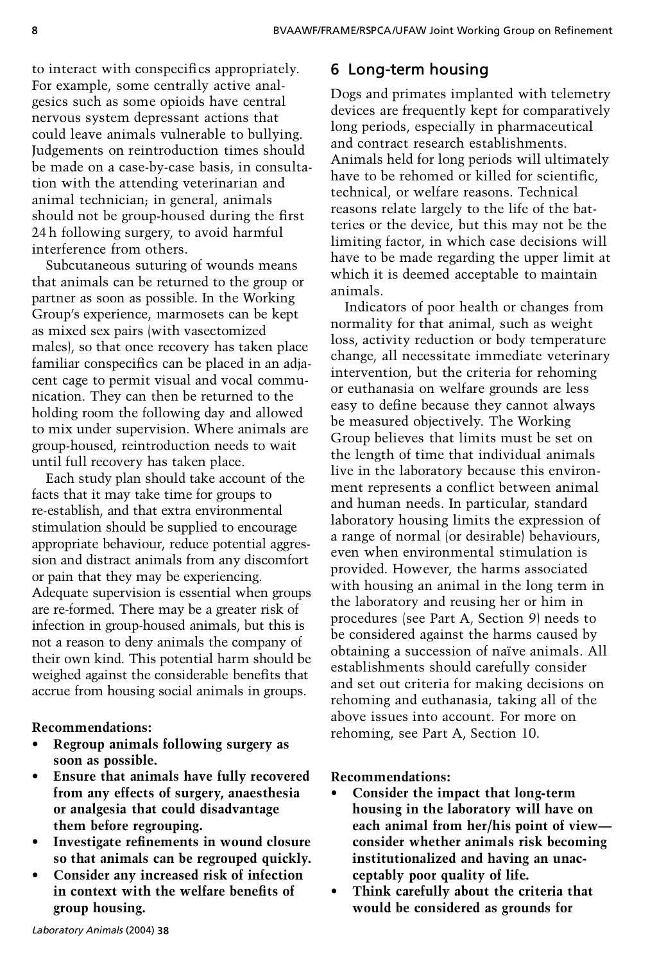to interact with conspecifics appropriately. For example, some centrally active analgesics such as some opioids have central nervous system depressant actions that could leave animals vulnerable to bullying. Judgements on reintroduction times should be made on a case-by-case basis, in consultation with the attending veterinarian and animal technician; in general, animals should not be group-housed during the first 24 h following surgery, to avoid harmful interference from others.

Subcutaneous suturing of wounds means that animals can be returned to the group or partner as soon as possible. In the Working Group's experience, marmosets can be kept as mixed sex pairs (with vasectomized males), so that once recovery has taken place familiar conspecifics can be placed in an adjacent cage to permit visual and vocal communication. They can then be returned to the holding room the following day and allowed to mix under supervision. Where animals are group-housed, reintroduction needs to wait until full recovery has taken place.

Each study plan should take account of the facts that it may take time for groups to re-establish, and that extra environmental stimulation should be supplied to encourage appropriate behaviour, reduce potential aggression and distract animals from any discomfort or pain that they may be experiencing. Adequate supervision is essential when groups are re-formed. There may be a greater risk of infection in group-housed animals, but this is not a reason to deny animals the company of their own kind. This potential harm should be weighed against the considerable benefits that accrue from housing social animals in groups.

# **Recommendations:**

- **Regroup animals following surgery as soon as possible.**
- **Ensure that animals have fully recovered from any effects of surgery, anaesthesia or analgesia that could disadvantage them before regrouping.**
- **Investigate refinements in wound closure so that animals can be regrouped quickly.**
- **Consider any increased risk of infection in context with the welfare benefits of group housing.**

# **6 Long-term housing**

Dogs and primates implanted with telemetry devices are frequently kept for comparatively long periods, especially in pharmaceutical and contract research establishments. Animals held for long periods will ultimately have to be rehomed or killed for scientific. technical, or welfare reasons. Technical reasons relate largely to the life of the batteries or the device, but this may not be the limiting factor, in which case decisions will have to be made regarding the upper limit at which it is deemed acceptable to maintain animals.

Indicators of poor health or changes from normality for that animal, such as weight loss, activity reduction or body temperature change, all necessitate immediate veterinary intervention, but the criteria for rehoming or euthanasia on welfare grounds are less easy to define because they cannot always be measured objectively. The Working Group believes that limits must be set on the length of time that individual animals live in the laboratory because this environment represents a conflict between animal and human needs. In particular, standard laboratory housing limits the expression of a range of normal (or desirable) behaviours, even when environmental stimulation is provided. However, the harms associated with housing an animal in the long term in the laboratory and reusing her or him in procedures (see Part A, Section 9) needs to be considered against the harms caused by obtaining a succession of naïve animals. All establishments should carefully consider and set out criteria for making decisions on rehoming and euthanasia, taking all of the above issues into account. For more on rehoming, see Part A, Section 10.

# **Recommendations:**

- **Consider the impact that long-term housing in the laboratory will have on each animal from her/his point of view consider whether animals risk becoming institutionalized and having an unacceptably poor quality of life.**
- **Think carefully about the criteria that would be considered as grounds for**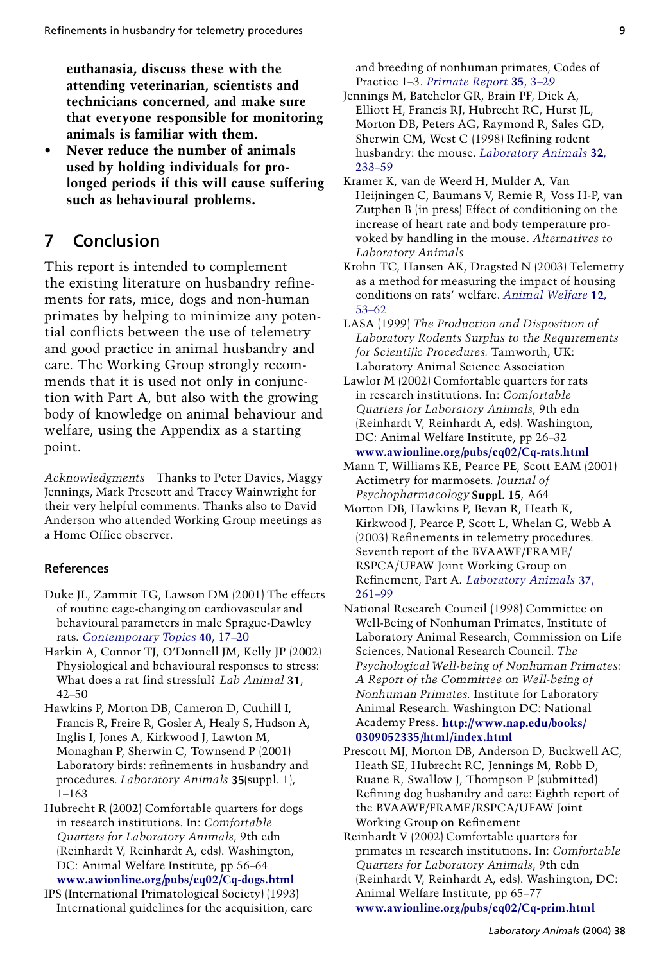**euthanasia, discuss these with the attending veterinarian, scientists and technicians concerned, and make sure that everyone responsible for monitoring animals is familiar with them.**

 **Never reduce the number of animals used by holding individuals for prolonged periods if this will cause suffering such as behavioural problems.**

# **7 Conclusion**

This report is intended to complement the existing literature on husbandry refinements for rats, mice, dogs and non-human primates by helping to minimize any potential conflicts between the use of telemetry and good practice in animal husbandry and care. The Working Group strongly recommends that it is used not only in conjunction with Part A, but also with the growing body of knowledge on animal behaviour and welfare, using the Appendix as a starting point.

*Acknowledgments* Thanks to Peter Davies, Maggy Jennings, Mark Prescott and Tracey Wainwright for their very helpful comments. Thanks also to David Anderson who attended Working Group meetings as a Home Office observer.

### **References**

- Duke JL, Zammit TG, Lawson DM (2001) The effects of routine cage-changing on cardiovascular and behavioural parameters in male Sprague-Dawley rats. *[Contemporary Topics](http://www.ingentaconnect.com/content/external-references?article=/1060-0558^28^2940L.17[aid=2721241])* **40**, 17–20
- Harkin A, Connor TJ, O'Donnell JM, Kelly JP (2002) Physiological and behavioural responses to stress: What does a rat find stressful? *Lab Animal* 31, 42–50
- Hawkins P, Morton DB, Cameron D, Cuthill I, Francis R, Freire R, Gosler A, Healy S, Hudson A, Inglis I, Jones A, Kirkwood J, Lawton M, Monaghan P, Sherwin C, Townsend P (2001) Laboratory birds: refinements in husbandry and procedures. *Laboratory Animals* **35**(suppl. 1), 1–163
- Hubrecht R (2002) Comfortable quarters for dogs in research institutions. In: *Comfortable Quarters for Laboratory Animals*, 9th edn (Reinhardt V, Reinhardt A, eds). Washington, DC: Animal Welfare Institute, pp 56–64

**[www.awionline.org/pubs/cq02/Cq-dogs.html](http://www.awionline.org/pubs/cq02/Cq-dogs.html)** IPS (International Primatological Society) (1993) International guidelines for the acquisition, care and breeding of nonhuman primates, Codes of Practice 1–3. *[Primate Report](http://www.ingentaconnect.com/content/external-references?article=/0343-3528^28^2935L.3[aid=2721427])* **35**, 3–29

- Jennings M, Batchelor GR, Brain PF, Dick A, Elliott H, Francis RJ, Hubrecht RC, Hurst JL, Morton DB, Peters AG, Raymond R, Sales GD, Sherwin CM, West C (1998) Refining rodent husbandry: the mouse. *[Laboratory Animals](http://www.ingentaconnect.com/content/external-references?article=/0023-6772^28^2932L.233[aid=555982])* **32**, [233–59](http://www.ingentaconnect.com/content/external-references?article=/0023-6772^28^2932L.233[aid=555982])
- Kramer K, van de Weerd H, Mulder A, Van Heijningen C, Baumans V, Remie R, Voss H-P, van Zutphen B (in press) Effect of conditioning on the increase of heart rate and body temperature provoked by handling in the mouse. *Alternatives to Laboratory Animals*
- Krohn TC, Hansen AK, Dragsted N (2003) Telemetry as a method for measuring the impact of housing conditions on rats' welfare. *[Animal Welfare](http://www.ingentaconnect.com/content/external-references?article=/0962-7286^28^2912L.53[aid=4683737])* **12**, [53–62](http://www.ingentaconnect.com/content/external-references?article=/0962-7286^28^2912L.53[aid=4683737])
- LASA (1999) *The Production and Disposition of Laboratory Rodents Surplus to the Requirements for Scientic Procedures.* Tamworth, UK: Laboratory Animal Science Association
- Lawlor M (2002) Comfortable quarters for rats in research institutions. In: *Comfortable Quarters for Laboratory Animals*, 9th edn (Reinhardt V, Reinhardt A, eds). Washington, DC: Animal Welfare Institute, pp 26–32 **[www.awionline.org/pubs/cq02/Cq-rats.html](http://www.awionline.org/pubs/cq02/Cq-rats.html)**
- Mann T, Williams KE, Pearce PE, Scott EAM (2001) Actimetry for marmosets. *Journal of Psychopharmacology* **Suppl. 15**, A64
- Morton DB, Hawkins P, Bevan R, Heath K, Kirkwood J, Pearce P, Scott L, Whelan G, Webb A (2003) Refinements in telemetry procedures. Seventh report of the BVAAWF/FRAME/ RSPCA/UFAW Joint Working Group on Refinement, Part A. *[Laboratory Animals](http://www.ingentaconnect.com/content/external-references?article=/0023-6772^28^2937L.261[aid=5482430])* 37, [261–99](http://www.ingentaconnect.com/content/external-references?article=/0023-6772^28^2937L.261[aid=5482430])
- National Research Council (1998) Committee on Well-Being of Nonhuman Primates, Institute of Laboratory Animal Research, Commission on Life Sciences, National Research Council. *The Psychological Well-being of Nonhuman Primates: A Report of the Committee on Well-being of Nonhuman Primates*. Institute for Laboratory Animal Research. Washington DC: National Academy Press. **[http://www.nap.edu/books/](http://www.nap.edu/books/0309052335/html/index.html) [0309052335/html/index.html](http://www.nap.edu/books/0309052335/html/index.html)**
- Prescott MJ, Morton DB, Anderson D, Buckwell AC, Heath SE, Hubrecht RC, Jennings M, Robb D, Ruane R, Swallow J, Thompson P (submitted) Refining dog husbandry and care: Eighth report of the BVAAWF/FRAME/RSPCA/UFAW Joint Working Group on Refinement
- Reinhardt V (2002) Comfortable quarters for primates in research institutions. In: *Comfortable Quarters for Laboratory Animals*, 9th edn (Reinhardt V, Reinhardt A, eds). Washington, DC: Animal Welfare Institute, pp 65–77 **[www.awionline.org/pubs/cq02/Cq-prim.html](http://www.awionline.org/pubs/cq02/Cq-prim.html)**